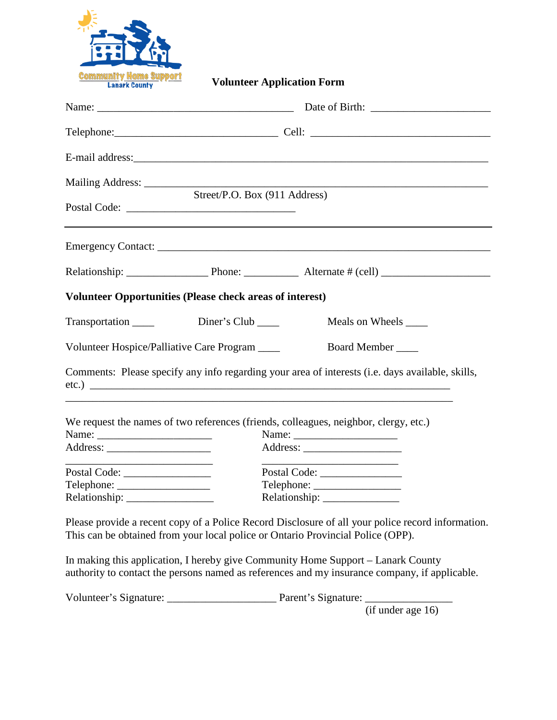

**Volunteer Application Form**

|                                                                                                                       | Mailing Address: Street/P.O. Box (911 Address)                                                                                                                                       |  |  |
|-----------------------------------------------------------------------------------------------------------------------|--------------------------------------------------------------------------------------------------------------------------------------------------------------------------------------|--|--|
|                                                                                                                       |                                                                                                                                                                                      |  |  |
|                                                                                                                       |                                                                                                                                                                                      |  |  |
|                                                                                                                       | <b>Volunteer Opportunities (Please check areas of interest)</b>                                                                                                                      |  |  |
| Transportation ______                                                                                                 | Diner's Club $\_\_$<br>Meals on Wheels _______                                                                                                                                       |  |  |
| Volunteer Hospice/Palliative Care Program ____                                                                        | Board Member                                                                                                                                                                         |  |  |
|                                                                                                                       | Comments: Please specify any info regarding your area of interests (i.e. days available, skills,                                                                                     |  |  |
|                                                                                                                       | We request the names of two references (friends, colleagues, neighbor, clergy, etc.)                                                                                                 |  |  |
| <u> 1980 - Johann Barbara, martin amerikan basar dan berasal dalam basar dalam basar dalam basar dalam basar dala</u> | <u> 1990 - Johann Barn, mars ann an t-Amhain ann an t-A</u>                                                                                                                          |  |  |
|                                                                                                                       | Please provide a recent copy of a Police Record Disclosure of all your police record information.<br>This can be obtained from your local police or Ontario Provincial Police (OPP). |  |  |
|                                                                                                                       | In making this application, I hereby give Community Home Support – Lanark County<br>authority to contact the persons named as references and my insurance company, if applicable.    |  |  |
|                                                                                                                       | Parent's Signature:                                                                                                                                                                  |  |  |

(if under age 16)